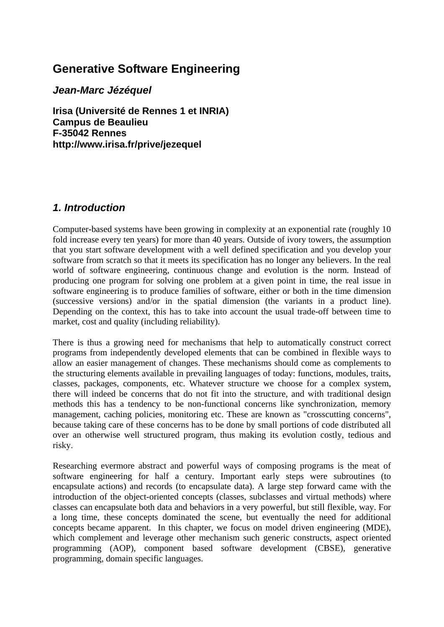## **Generative Software Engineering**

*Jean-Marc Jézéquel* 

**Irisa (Université de Rennes 1 et INRIA) Campus de Beaulieu F-35042 Rennes http://www.irisa.fr/prive/jezequel** 

## *1. Introduction*

Computer-based systems have been growing in complexity at an exponential rate (roughly 10 fold increase every ten years) for more than 40 years. Outside of ivory towers, the assumption that you start software development with a well defined specification and you develop your software from scratch so that it meets its specification has no longer any believers. In the real world of software engineering, continuous change and evolution is the norm. Instead of producing one program for solving one problem at a given point in time, the real issue in software engineering is to produce families of software, either or both in the time dimension (successive versions) and/or in the spatial dimension (the variants in a product line). Depending on the context, this has to take into account the usual trade-off between time to market, cost and quality (including reliability).

There is thus a growing need for mechanisms that help to automatically construct correct programs from independently developed elements that can be combined in flexible ways to allow an easier management of changes. These mechanisms should come as complements to the structuring elements available in prevailing languages of today: functions, modules, traits, classes, packages, components, etc. Whatever structure we choose for a complex system, there will indeed be concerns that do not fit into the structure, and with traditional design methods this has a tendency to be non-functional concerns like synchronization, memory management, caching policies, monitoring etc. These are known as "crosscutting concerns", because taking care of these concerns has to be done by small portions of code distributed all over an otherwise well structured program, thus making its evolution costly, tedious and risky.

Researching evermore abstract and powerful ways of composing programs is the meat of software engineering for half a century. Important early steps were subroutines (to encapsulate actions) and records (to encapsulate data). A large step forward came with the introduction of the object-oriented concepts (classes, subclasses and virtual methods) where classes can encapsulate both data and behaviors in a very powerful, but still flexible, way. For a long time, these concepts dominated the scene, but eventually the need for additional concepts became apparent. In this chapter, we focus on model driven engineering (MDE), which complement and leverage other mechanism such generic constructs, aspect oriented programming (AOP), component based software development (CBSE), generative programming, domain specific languages.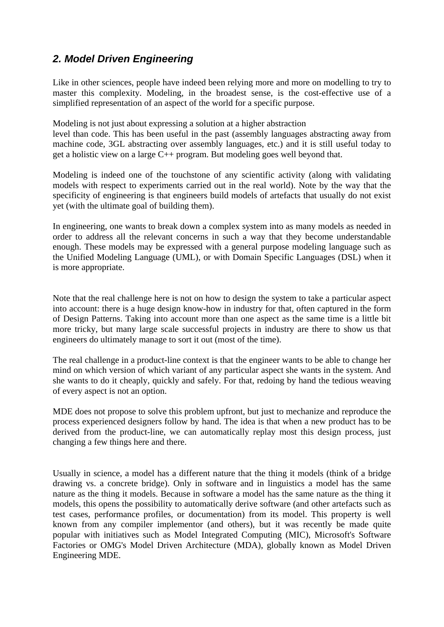## *2. Model Driven Engineering*

Like in other sciences, people have indeed been relying more and more on modelling to try to master this complexity. Modeling, in the broadest sense, is the cost-effective use of a simplified representation of an aspect of the world for a specific purpose.

Modeling is not just about expressing a solution at a higher abstraction

level than code. This has been useful in the past (assembly languages abstracting away from machine code, 3GL abstracting over assembly languages, etc.) and it is still useful today to get a holistic view on a large C++ program. But modeling goes well beyond that.

Modeling is indeed one of the touchstone of any scientific activity (along with validating models with respect to experiments carried out in the real world). Note by the way that the specificity of engineering is that engineers build models of artefacts that usually do not exist yet (with the ultimate goal of building them).

In engineering, one wants to break down a complex system into as many models as needed in order to address all the relevant concerns in such a way that they become understandable enough. These models may be expressed with a general purpose modeling language such as the Unified Modeling Language (UML), or with Domain Specific Languages (DSL) when it is more appropriate.

Note that the real challenge here is not on how to design the system to take a particular aspect into account: there is a huge design know-how in industry for that, often captured in the form of Design Patterns. Taking into account more than one aspect as the same time is a little bit more tricky, but many large scale successful projects in industry are there to show us that engineers do ultimately manage to sort it out (most of the time).

The real challenge in a product-line context is that the engineer wants to be able to change her mind on which version of which variant of any particular aspect she wants in the system. And she wants to do it cheaply, quickly and safely. For that, redoing by hand the tedious weaving of every aspect is not an option.

MDE does not propose to solve this problem upfront, but just to mechanize and reproduce the process experienced designers follow by hand. The idea is that when a new product has to be derived from the product-line, we can automatically replay most this design process, just changing a few things here and there.

Usually in science, a model has a different nature that the thing it models (think of a bridge drawing vs. a concrete bridge). Only in software and in linguistics a model has the same nature as the thing it models. Because in software a model has the same nature as the thing it models, this opens the possibility to automatically derive software (and other artefacts such as test cases, performance profiles, or documentation) from its model. This property is well known from any compiler implementor (and others), but it was recently be made quite popular with initiatives such as Model Integrated Computing (MIC), Microsoft's Software Factories or OMG's Model Driven Architecture (MDA), globally known as Model Driven Engineering MDE.